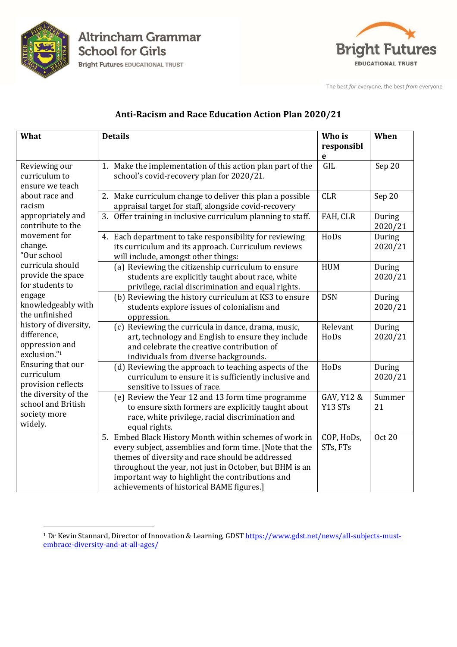

**Altrincham Grammar School for Girls** 

**Bright Futures EDUCATIONAL TRUST** 



The best *for* everyone, the best *from* everyone

## **Anti-Racism and Race Education Action Plan 2020/21**

| What                                                                                                                                                                                                                                                                                                                                                                                                                                                                                        | <b>Details</b>                                                                                                                                                                                                                                                                                                                    | Who is                    | When              |
|---------------------------------------------------------------------------------------------------------------------------------------------------------------------------------------------------------------------------------------------------------------------------------------------------------------------------------------------------------------------------------------------------------------------------------------------------------------------------------------------|-----------------------------------------------------------------------------------------------------------------------------------------------------------------------------------------------------------------------------------------------------------------------------------------------------------------------------------|---------------------------|-------------------|
|                                                                                                                                                                                                                                                                                                                                                                                                                                                                                             |                                                                                                                                                                                                                                                                                                                                   | responsibl<br>$\mathbf e$ |                   |
| Reviewing our<br>curriculum to<br>ensure we teach<br>about race and<br>racism<br>appropriately and<br>contribute to the<br>movement for<br>change.<br>"Our school<br>curricula should<br>provide the space<br>for students to<br>engage<br>knowledgeably with<br>the unfinished<br>history of diversity,<br>difference,<br>oppression and<br>exclusion."1<br>Ensuring that our<br>curriculum<br>provision reflects<br>the diversity of the<br>school and British<br>society more<br>widely. | 1. Make the implementation of this action plan part of the<br>school's covid-recovery plan for 2020/21.                                                                                                                                                                                                                           | <b>GIL</b>                | Sep 20            |
|                                                                                                                                                                                                                                                                                                                                                                                                                                                                                             | 2. Make curriculum change to deliver this plan a possible<br>appraisal target for staff, alongside covid-recovery                                                                                                                                                                                                                 | <b>CLR</b>                | Sep 20            |
|                                                                                                                                                                                                                                                                                                                                                                                                                                                                                             | 3. Offer training in inclusive curriculum planning to staff.                                                                                                                                                                                                                                                                      | FAH, CLR                  | During<br>2020/21 |
|                                                                                                                                                                                                                                                                                                                                                                                                                                                                                             | 4. Each department to take responsibility for reviewing<br>its curriculum and its approach. Curriculum reviews<br>will include, amongst other things:                                                                                                                                                                             | HoDs                      | During<br>2020/21 |
|                                                                                                                                                                                                                                                                                                                                                                                                                                                                                             | (a) Reviewing the citizenship curriculum to ensure<br>students are explicitly taught about race, white<br>privilege, racial discrimination and equal rights.                                                                                                                                                                      | <b>HUM</b>                | During<br>2020/21 |
|                                                                                                                                                                                                                                                                                                                                                                                                                                                                                             | (b) Reviewing the history curriculum at KS3 to ensure<br>students explore issues of colonialism and<br>oppression.                                                                                                                                                                                                                | <b>DSN</b>                | During<br>2020/21 |
|                                                                                                                                                                                                                                                                                                                                                                                                                                                                                             | (c) Reviewing the curricula in dance, drama, music,<br>art, technology and English to ensure they include<br>and celebrate the creative contribution of<br>individuals from diverse backgrounds.                                                                                                                                  | Relevant<br>HoDs          | During<br>2020/21 |
|                                                                                                                                                                                                                                                                                                                                                                                                                                                                                             | (d) Reviewing the approach to teaching aspects of the<br>curriculum to ensure it is sufficiently inclusive and<br>sensitive to issues of race.                                                                                                                                                                                    | HoDs                      | During<br>2020/21 |
|                                                                                                                                                                                                                                                                                                                                                                                                                                                                                             | (e) Review the Year 12 and 13 form time programme<br>to ensure sixth formers are explicitly taught about<br>race, white privilege, racial discrimination and<br>equal rights.                                                                                                                                                     | GAV, Y12 &<br>Y13 STs     | Summer<br>21      |
|                                                                                                                                                                                                                                                                                                                                                                                                                                                                                             | 5. Embed Black History Month within schemes of work in<br>every subject, assemblies and form time. [Note that the<br>themes of diversity and race should be addressed<br>throughout the year, not just in October, but BHM is an<br>important way to highlight the contributions and<br>achievements of historical BAME figures.] | COP, HoDs,<br>STs, FTs    | <b>Oct 20</b>     |

 $\overline{a}$ <sup>1</sup> Dr Kevin Stannard, Director of Innovation & Learning, GDST [https://www.gdst.net/news/all-subjects-must](https://www.gdst.net/news/all-subjects-must-embrace-diversity-and-at-all-ages/)[embrace-diversity-and-at-all-ages/](https://www.gdst.net/news/all-subjects-must-embrace-diversity-and-at-all-ages/)